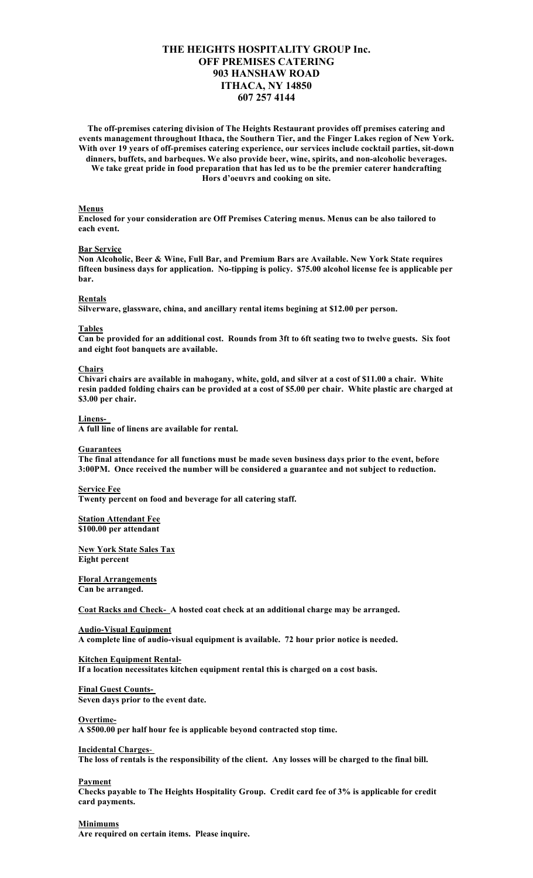# **THE HEIGHTS HOSPITALITY GROUP Inc. OFF PREMISES CATERING 903 HANSHAW ROAD ITHACA, NY 14850 607 257 4144**

**The off-premises catering division of The Heights Restaurant provides off premises catering and events management throughout Ithaca, the Southern Tier, and the Finger Lakes region of New York. With over 19 years of off-premises catering experience, our services include cocktail parties, sit-down dinners, buffets, and barbeques. We also provide beer, wine, spirits, and non-alcoholic beverages. We take great pride in food preparation that has led us to be the premier caterer handcrafting Hors d'oeuvrs and cooking on site.** 

#### **Menus**

**Enclosed for your consideration are Off Premises Catering menus. Menus can be also tailored to each event.** 

#### **Bar Service**

**Non Alcoholic, Beer & Wine, Full Bar, and Premium Bars are Available. New York State requires fifteen business days for application. No-tipping is policy. \$75.00 alcohol license fee is applicable per bar.** 

#### **Rentals**

**Silverware, glassware, china, and ancillary rental items begining at \$12.00 per person.** 

#### **Tables**

**Can be provided for an additional cost. Rounds from 3ft to 6ft seating two to twelve guests. Six foot and eight foot banquets are available.** 

#### **Chairs**

**Chivari chairs are available in mahogany, white, gold, and silver at a cost of \$11.00 a chair. White resin padded folding chairs can be provided at a cost of \$5.00 per chair. White plastic are charged at \$3.00 per chair.**

#### **Linens-**

**A full line of linens are available for rental.**

#### **Guarantees**

**The final attendance for all functions must be made seven business days prior to the event, before 3:00PM. Once received the number will be considered a guarantee and not subject to reduction.**

### **Service Fee**

**Twenty percent on food and beverage for all catering staff.**

# **Station Attendant Fee**

**\$100.00 per attendant**

### **New York State Sales Tax Eight percent**

**Floral Arrangements**

**Can be arranged.**

**Coat Racks and Check- A hosted coat check at an additional charge may be arranged.**

# **Audio-Visual Equipment**

**A complete line of audio-visual equipment is available. 72 hour prior notice is needed.**

# **Kitchen Equipment Rental-**

**If a location necessitates kitchen equipment rental this is charged on a cost basis.**

# **Final Guest Counts-**

**Seven days prior to the event date.**

#### **Overtime-**

**A \$500.00 per half hour fee is applicable beyond contracted stop time.**

### **Incidental Charges**-

**The loss of rentals is the responsibility of the client. Any losses will be charged to the final bill.**

### **Payment**

**Checks payable to The Heights Hospitality Group. Credit card fee of 3% is applicable for credit card payments.**

### **Minimums**

**Are required on certain items. Please inquire.**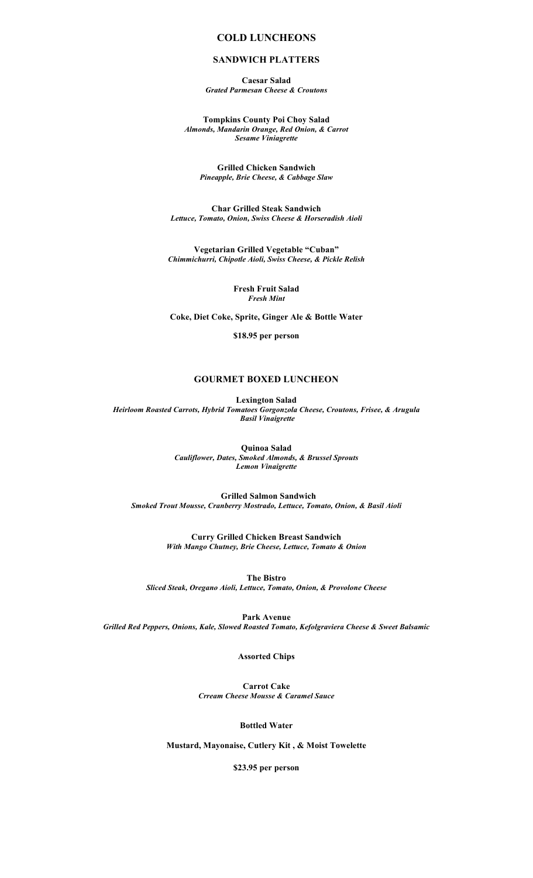# **COLD LUNCHEONS**

# **SANDWICH PLATTERS**

**Caesar Salad** *Grated Parmesan Cheese & Croutons*

**Tompkins County Poi Choy Salad** *Almonds, Mandarin Orange, Red Onion, & Carrot Sesame Viniagrette*

**Grilled Chicken Sandwich** *Pineapple, Brie Cheese, & Cabbage Slaw*

**Char Grilled Steak Sandwich** *Lettuce, Tomato, Onion, Swiss Cheese & Horseradish Aioli*

**Vegetarian Grilled Vegetable "Cuban"** *Chimmichurri, Chipotle Aioli, Swiss Cheese, & Pickle Relish*

> **Fresh Fruit Salad** *Fresh Mint*

**Coke, Diet Coke, Sprite, Ginger Ale & Bottle Water**

**\$18.95 per person**

# **GOURMET BOXED LUNCHEON**

**Lexington Salad** *Heirloom Roasted Carrots, Hybrid Tomatoes Gorgonzola Cheese, Croutons, Frisee, & Arugula Basil Vinaigrette*

> **Quinoa Salad** *Cauliflower, Dates, Smoked Almonds, & Brussel Sprouts Lemon Vinaigrette*

 **Grilled Salmon Sandwich** *Smoked Trout Mousse, Cranberry Mostrado, Lettuce, Tomato, Onion, & Basil Aioli*

> **Curry Grilled Chicken Breast Sandwich** *With Mango Chutney, Brie Cheese, Lettuce, Tomato & Onion*

**The Bistro** *Sliced Steak, Oregano Aioli, Lettuce, Tomato, Onion, & Provolone Cheese*

**Park Avenue** *Grilled Red Peppers, Onions, Kale, Slowed Roasted Tomato, Kefolgraviera Cheese & Sweet Balsamic*

**Assorted Chips**

**Carrot Cake** *Crream Cheese Mousse & Caramel Sauce*

**Bottled Water**

**Mustard, Mayonaise, Cutlery Kit , & Moist Towelette**

**\$23.95 per person**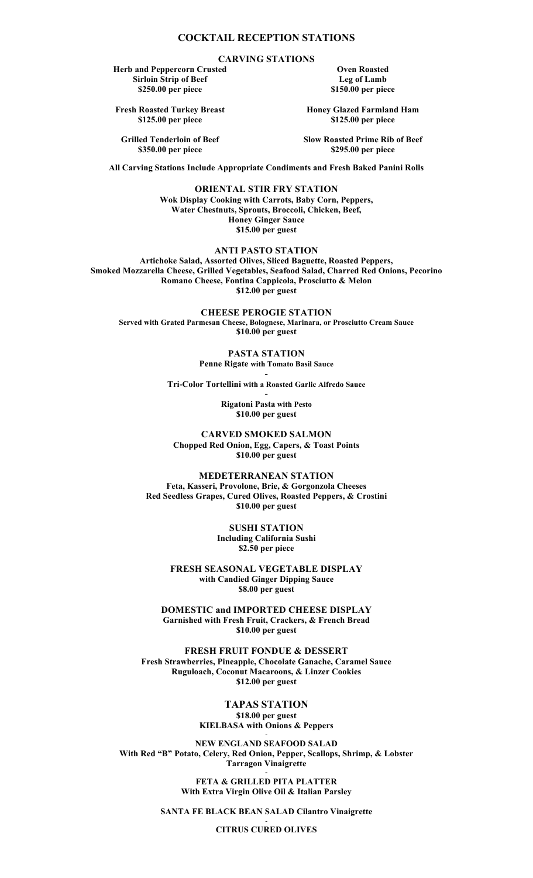# **COCKTAIL RECEPTION STATIONS**

**CARVING STATIONS**

**Herb and Peppercorn Crusted Sirloin Strip of Beef \$250.00 per piece**

**Fresh Roasted Turkey Breast \$125.00 per piece**

**Grilled Tenderloin of Beef \$350.00 per piece**

**Oven Roasted Leg of Lamb \$150.00 per piece**

**Honey Glazed Farmland Ham \$125.00 per piece**

**Slow Roasted Prime Rib of Beef \$295.00 per piece**

**All Carving Stations Include Appropriate Condiments and Fresh Baked Panini Rolls**

**ORIENTAL STIR FRY STATION Wok Display Cooking with Carrots, Baby Corn, Peppers, Water Chestnuts, Sprouts, Broccoli, Chicken, Beef, Honey Ginger Sauce \$15.00 per guest**

**ANTI PASTO STATION**

**Artichoke Salad, Assorted Olives, Sliced Baguette, Roasted Peppers, Smoked Mozzarella Cheese, Grilled Vegetables, Seafood Salad, Charred Red Onions, Pecorino Romano Cheese, Fontina Cappicola, Prosciutto & Melon \$12.00 per guest**

**CHEESE PEROGIE STATION**

**Served with Grated Parmesan Cheese, Bolognese, Marinara, or Prosciutto Cream Sauce \$10.00 per guest**

**PASTA STATION**

**Penne Rigate with Tomato Basil Sauce -**

**Tri-Color Tortellini with a Roasted Garlic Alfredo Sauce -**

> **Rigatoni Pasta with Pesto \$10.00 per guest**

**CARVED SMOKED SALMON Chopped Red Onion, Egg, Capers, & Toast Points \$10.00 per guest**

**MEDETERRANEAN STATION Feta, Kasseri, Provolone, Brie, & Gorgonzola Cheeses Red Seedless Grapes, Cured Olives, Roasted Peppers, & Crostini \$10.00 per guest**

> **SUSHI STATION Including California Sushi \$2.50 per piece**

**FRESH SEASONAL VEGETABLE DISPLAY with Candied Ginger Dipping Sauce \$8.00 per guest**

**DOMESTIC and IMPORTED CHEESE DISPLAY Garnished with Fresh Fruit, Crackers, & French Bread \$10.00 per guest**

**FRESH FRUIT FONDUE & DESSERT Fresh Strawberries, Pineapple, Chocolate Ganache, Caramel Sauce Ruguloach, Coconut Macaroons, & Linzer Cookies \$12.00 per guest**

> **TAPAS STATION \$18.00 per guest KIELBASA with Onions & Peppers**

> > -

**NEW ENGLAND SEAFOOD SALAD With Red "B" Potato, Celery, Red Onion, Pepper, Scallops, Shrimp, & Lobster Tarragon Vinaigrette**

> **- FETA & GRILLED PITA PLATTER With Extra Virgin Olive Oil & Italian Parsley**

**SANTA FE BLACK BEAN SALAD Cilantro Vinaigrette** -

**CITRUS CURED OLIVES**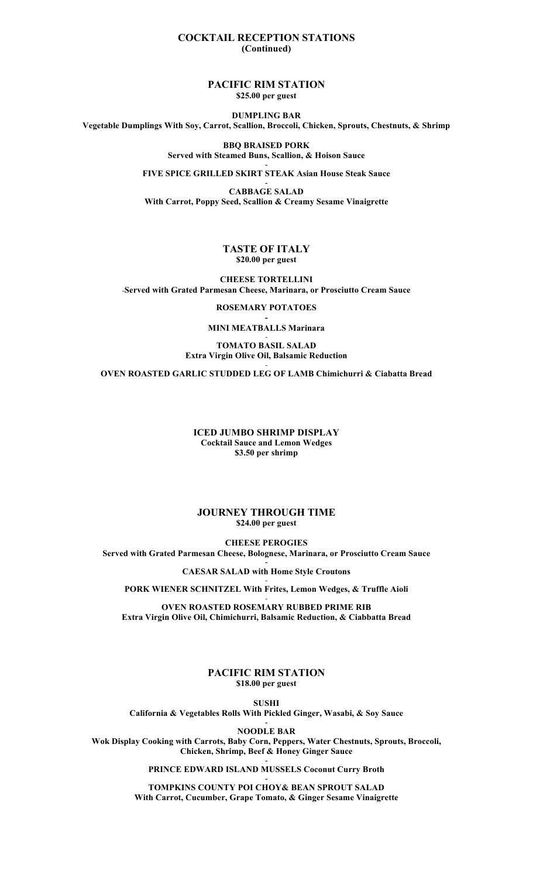# **COCKTAIL RECEPTION STATIONS (Continued)**

**PACIFIC RIM STATION \$25.00 per guest**

**DUMPLING BAR Vegetable Dumplings With Soy, Carrot, Scallion, Broccoli, Chicken, Sprouts, Chestnuts, & Shrimp**

> **BBQ BRAISED PORK Served with Steamed Buns, Scallion, & Hoison Sauce -**

**FIVE SPICE GRILLED SKIRT STEAK Asian House Steak Sauce -**

**CABBAGE SALAD With Carrot, Poppy Seed, Scallion & Creamy Sesame Vinaigrette**

# **TASTE OF ITALY \$20.00 per guest**

**CHEESE TORTELLINI** -**Served with Grated Parmesan Cheese, Marinara, or Prosciutto Cream Sauce**

**ROSEMARY POTATOES**

**- MINI MEATBALLS Marinara** -

### **TOMATO BASIL SALAD Extra Virgin Olive Oil, Balsamic Reduction** -

**OVEN ROASTED GARLIC STUDDED LEG OF LAMB Chimichurri & Ciabatta Bread**

# **ICED JUMBO SHRIMP DISPLAY Cocktail Sauce and Lemon Wedges \$3.50 per shrimp**

### **JOURNEY THROUGH TIME \$24.00 per guest**

**CHEESE PEROGIES Served with Grated Parmesan Cheese, Bolognese, Marinara, or Prosciutto Cream Sauce**

> **- CAESAR SALAD with Home Style Croutons**

- **PORK WIENER SCHNITZEL With Frites, Lemon Wedges, & Truffle Aioli** -

**OVEN ROASTED ROSEMARY RUBBED PRIME RIB Extra Virgin Olive Oil, Chimichurri, Balsamic Reduction, & Ciabbatta Bread**

# **PACIFIC RIM STATION \$18.00 per guest**

**SUSHI California & Vegetables Rolls With Pickled Ginger, Wasabi, & Soy Sauce -**

**NOODLE BAR**

**Wok Display Cooking with Carrots, Baby Corn, Peppers, Water Chestnuts, Sprouts, Broccoli, Chicken, Shrimp, Beef & Honey Ginger Sauce -**

> **PRINCE EDWARD ISLAND MUSSELS Coconut Curry Broth -**

**TOMPKINS COUNTY POI CHOY& BEAN SPROUT SALAD With Carrot, Cucumber, Grape Tomato, & Ginger Sesame Vinaigrette**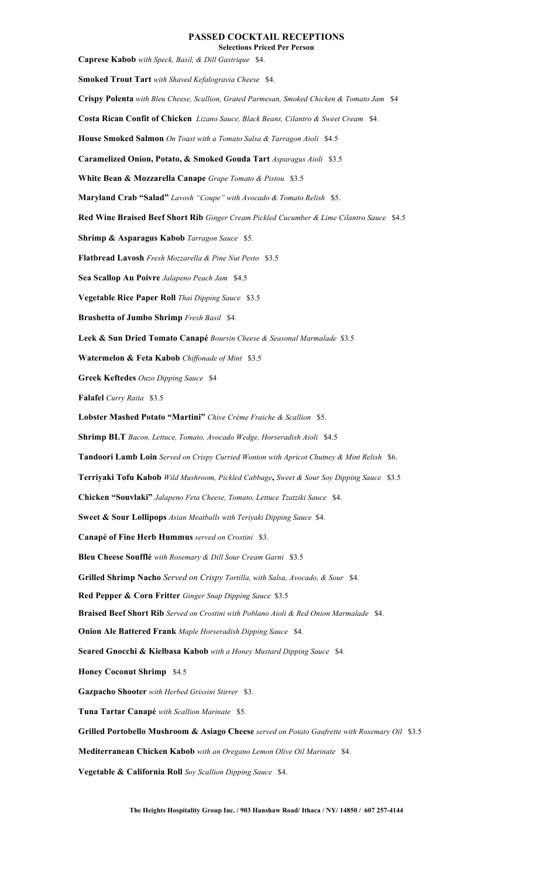# **PASSED COCKTAIL RECEPTIONS**

**Selections Priced Per Person Caprese Kabob** *with Speck, Basil, & Dill Gastrique* \$4. **Smoked Trout Tart** *with Shaved Kefalogravia Cheese* \$4. **Crispy Polenta** *with Bleu Cheese, Scallion, Grated Parmesan, Smoked Chicken & Tomato Jam* \$4 **Costa Rican Confit of Chicken** *Lizano Sauce, Black Beans, Cilantro & Sweet Cream* \$4. **House Smoked Salmon** *On Toast with a Tomato Salsa & Tarragon Aioli* \$4.5 **Caramelized Onion, Potato, & Smoked Gouda Tart** *Asparagus Aioli* \$3.5 **White Bean & Mozzarella Canape** *Grape Tomato & Pistou* \$3.5 **Maryland Crab "Salad"** *Lavosh "Coupe" with Avocado & Tomato Relish* \$5. **Red Wine Braised Beef Short Rib** *Ginger Cream Pickled Cucumber & Lime Cilantro Sauce* \$4.5 **Shrimp & Asparagus Kabob** *Tarragon Sauce* \$5*.* **Flatbread Lavosh** *Fresh Mozzarella & Pine Nut Pesto* \$3.5 **Sea Scallop Au Poivre** *Jalapeno Peach Jam* \$4.5 **Vegetable Rice Paper Roll** *Thai Dipping Sauce* \$3.5 **Brushetta of Jumbo Shrimp** *Fresh Basil* \$4. **Leek & Sun Dried Tomato Canapé** *Boursin Cheese & Seasonal Marmalade* \$3.5 **Watermelon & Feta Kabob** *Chiffonade of Mint* \$3.5 **Greek Keftedes** *Ouzo Dipping Sauce* \$4 **Falafel** *Curry Raita* \$3.5 **Lobster Mashed Potato "Martini"** *Chive Crème Fraiche & Scallion* \$5. **Shrimp BLT** *Bacon, Lettuce, Tomato, Avocado Wedge, Horseradish Aioli* \$4.5 **Tandoori Lamb Loin** *Served on Crispy Curried Wonton with Apricot Chutney & Mint Relish* \$6. **Terriyaki Tofu Kabob** *Wild Mushroom, Pickled Cabbage***,** *Sweet & Sour Soy Dipping Sauce* \$3.5 **Chicken "Souvlaki"** *Jalapeno Feta Cheese, Tomato, Lettuce Tzatziki Sauce* \$4. **Sweet & Sour Lollipops** *Asian Meatballs with Teriyaki Dipping Sauce* \$4. **Canapé of Fine Herb Hummus** *served on Crostini* \$3. **Bleu Cheese Soufflé** *with Rosemary & Dill Sour Cream Garni* \$3.5 **Grilled Shrimp Nacho** *Served on Crispy Tortilla, with Salsa, Avocado, & Sour* \$4. **Red Pepper & Corn Fritter** *Ginger Snap Dipping Sauce* \$3.5 **Braised Beef Short Rib** *Served on Crostini with Poblano Aioli & Red Onion Marmalade* \$4. **Onion Ale Battered Frank** *Maple Horseradish Dipping Sauce* \$4. **Seared Gnocchi & Kielbasa Kabob** *with a Honey Mustard Dipping Sauce* \$4. **Honey Coconut Shrimp** \$4.5 **Gazpacho Shooter** *with Herbed Grissini Stirrer* \$3. **Tuna Tartar Canapé** *with Scallion Marinate* \$5. **Grilled Portobello Mushroom & Asiago Cheese** *served on Potato Gaufrette with Rosemary Oil* \$3.5 **Mediterranean Chicken Kabob** *with an Oregano Lemon Olive Oil Marinate* \$4. **Vegetable & California Roll** *Soy Scallion Dipping Sauce* \$4.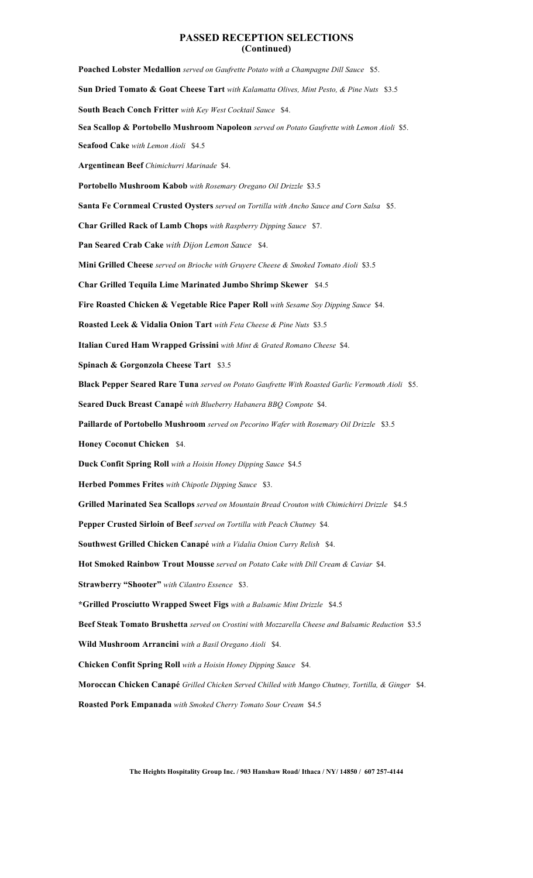# **PASSED RECEPTION SELECTIONS (Continued)**

**Poached Lobster Medallion** *served on Gaufrette Potato with a Champagne Dill Sauce* \$5. **Sun Dried Tomato & Goat Cheese Tart** *with Kalamatta Olives, Mint Pesto, & Pine Nuts* \$3.5 **South Beach Conch Fritter** *with Key West Cocktail Sauce* \$4. **Sea Scallop & Portobello Mushroom Napoleon** *served on Potato Gaufrette with Lemon Aioli* \$5. **Seafood Cake** *with Lemon Aioli* \$4.5 **Argentinean Beef** *Chimichurri Marinade* \$4. **Portobello Mushroom Kabob** *with Rosemary Oregano Oil Drizzle* \$3.5 **Santa Fe Cornmeal Crusted Oysters** *served on Tortilla with Ancho Sauce and Corn Salsa* \$5. **Char Grilled Rack of Lamb Chops** *with Raspberry Dipping Sauce* \$7. **Pan Seared Crab Cake** *with Dijon Lemon Sauce* \$4. **Mini Grilled Cheese** *served on Brioche with Gruyere Cheese & Smoked Tomato Aioli* \$3.5 **Char Grilled Tequila Lime Marinated Jumbo Shrimp Skewer** \$4.5 **Fire Roasted Chicken & Vegetable Rice Paper Roll** *with Sesame Soy Dipping Sauce* \$4. **Roasted Leek & Vidalia Onion Tart** *with Feta Cheese & Pine Nuts* \$3.5 **Italian Cured Ham Wrapped Grissini** *with Mint & Grated Romano Cheese* \$4. **Spinach & Gorgonzola Cheese Tart** \$3.5 **Black Pepper Seared Rare Tuna** *served on Potato Gaufrette With Roasted Garlic Vermouth Aioli* \$5. **Seared Duck Breast Canapé** *with Blueberry Habanera BBQ Compote* \$4. **Paillarde of Portobello Mushroom** *served on Pecorino Wafer with Rosemary Oil Drizzle* \$3.5 **Honey Coconut Chicken** \$4. **Duck Confit Spring Roll** *with a Hoisin Honey Dipping Sauce* \$4.5 **Herbed Pommes Frites** *with Chipotle Dipping Sauce* \$3. **Grilled Marinated Sea Scallops** *served on Mountain Bread Crouton with Chimichirri Drizzle* \$4.5 **Pepper Crusted Sirloin of Beef** *served on Tortilla with Peach Chutney* \$4*.* **Southwest Grilled Chicken Canapé** *with a Vidalia Onion Curry Relish* \$4. **Hot Smoked Rainbow Trout Mousse** *served on Potato Cake with Dill Cream & Caviar* \$4. **Strawberry "Shooter"** *with Cilantro Essence* \$3. **\*Grilled Prosciutto Wrapped Sweet Figs** *with a Balsamic Mint Drizzle* \$4.5 **Beef Steak Tomato Brushetta** *served on Crostini with Mozzarella Cheese and Balsamic Reduction* \$3.5 **Wild Mushroom Arrancini** *with a Basil Oregano Aioli* \$4. **Chicken Confit Spring Roll** *with a Hoisin Honey Dipping Sauce* \$4. **Moroccan Chicken Canapé** *Grilled Chicken Served Chilled with Mango Chutney, Tortilla, & Ginger* \$4. **Roasted Pork Empanada** *with Smoked Cherry Tomato Sour Cream* \$4.5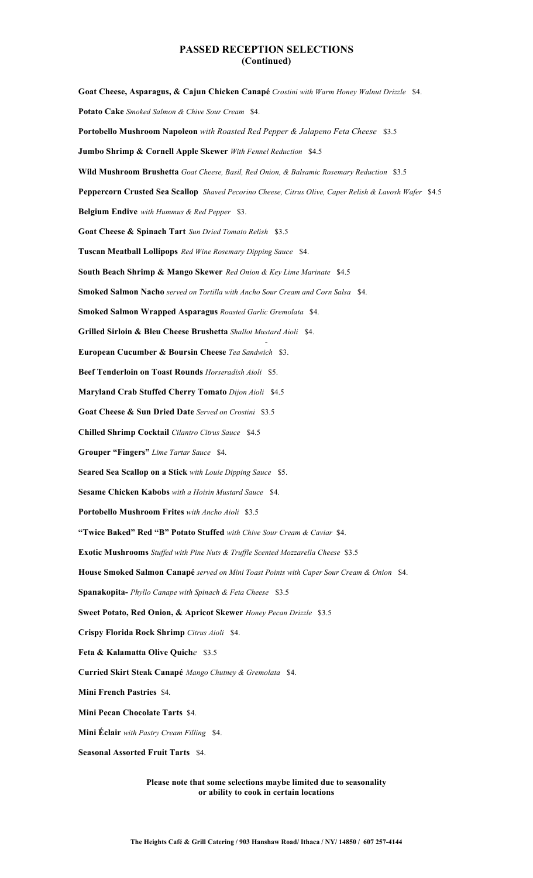# **PASSED RECEPTION SELECTIONS (Continued)**

**Goat Cheese, Asparagus, & Cajun Chicken Canapé** *Crostini with Warm Honey Walnut Drizzle* \$4. **Potato Cake** *Smoked Salmon & Chive Sour Cream* \$4. **Portobello Mushroom Napoleon** *with Roasted Red Pepper & Jalapeno Feta Cheese* \$3.5 **Jumbo Shrimp & Cornell Apple Skewer** *With Fennel Reduction* \$4.5 **Wild Mushroom Brushetta** *Goat Cheese, Basil, Red Onion, & Balsamic Rosemary Reduction* \$3.5 **Peppercorn Crusted Sea Scallop** *Shaved Pecorino Cheese, Citrus Olive, Caper Relish & Lavosh Wafer* \$4.5 **Belgium Endive** *with Hummus & Red Pepper* \$3. **Goat Cheese & Spinach Tart** *Sun Dried Tomato Relish* \$3.5 **Tuscan Meatball Lollipops** *Red Wine Rosemary Dipping Sauce* \$4. **South Beach Shrimp & Mango Skewer** *Red Onion & Key Lime Marinate* \$4.5 **Smoked Salmon Nacho** *served on Tortilla with Ancho Sour Cream and Corn Salsa* \$4. **Smoked Salmon Wrapped Asparagus** *Roasted Garlic Gremolata* \$4. **Grilled Sirloin & Bleu Cheese Brushetta** *Shallot Mustard Aioli* \$4. - **European Cucumber & Boursin Cheese** *Tea Sandwich* \$3. **Beef Tenderloin on Toast Rounds** *Horseradish Aioli* \$5. **Maryland Crab Stuffed Cherry Tomato** *Dijon Aioli* \$4.5 **Goat Cheese & Sun Dried Date** *Served on Crostini* \$3.5 **Chilled Shrimp Cocktail** *Cilantro Citrus Sauce* \$4.5 **Grouper "Fingers"** *Lime Tartar Sauce* \$4. **Seared Sea Scallop on a Stick** *with Louie Dipping Sauce* \$5. **Sesame Chicken Kabobs** *with a Hoisin Mustard Sauce* \$4. **Portobello Mushroom Frites** *with Ancho Aioli* \$3.5 **"Twice Baked" Red "B" Potato Stuffed** *with Chive Sour Cream & Caviar* \$4. **Exotic Mushrooms** *Stuffed with Pine Nuts & Truffle Scented Mozzarella Cheese* \$3.5 **House Smoked Salmon Canapé** *served on Mini Toast Points with Caper Sour Cream & Onion* \$4. **Spanakopita-** *Phyllo Canape with Spinach & Feta Cheese* \$3.5 **Sweet Potato, Red Onion, & Apricot Skewer** *Honey Pecan Drizzle* \$3.5 **Crispy Florida Rock Shrimp** *Citrus Aioli* \$4. **Feta & Kalamatta Olive Quich***e* \$3.5 **Curried Skirt Steak Canapé** *Mango Chutney & Gremolata* \$4. **Mini French Pastries** \$4*.* **Mini Pecan Chocolate Tarts** \$4. **Mini Éclair** *with Pastry Cream Filling* \$4. **Seasonal Assorted Fruit Tarts** \$4.

> **Please note that some selections maybe limited due to seasonality or ability to cook in certain locations**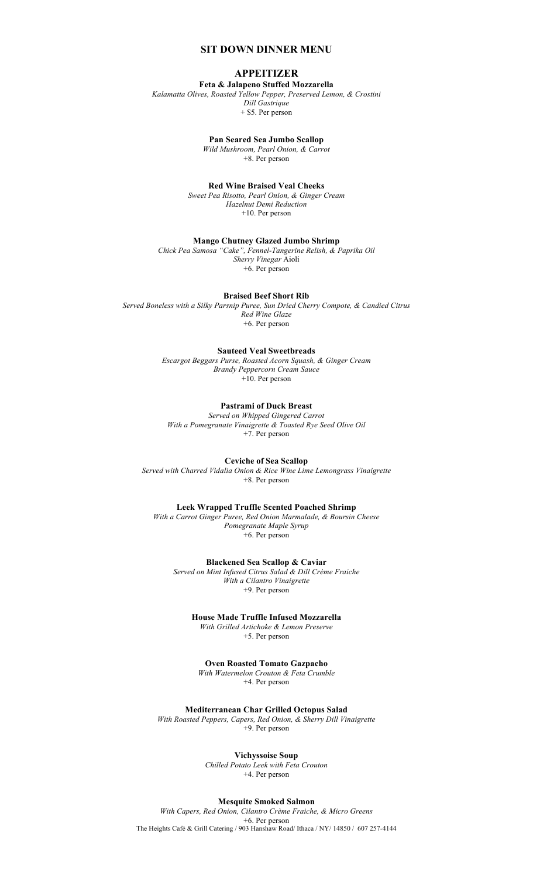# **SIT DOWN DINNER MENU**

# **APPEITIZER**

**Feta & Jalapeno Stuffed Mozzarella** *Kalamatta Olives, Roasted Yellow Pepper, Preserved Lemon, & Crostini*

*Dill Gastrique* + \$5. Per person

**Pan Seared Sea Jumbo Scallop**

*Wild Mushroom, Pearl Onion, & Carrot* +8. Per person

**Red Wine Braised Veal Cheeks**

*Sweet Pea Risotto, Pearl Onion, & Ginger Cream Hazelnut Demi Reduction*  +10. Per person

**Mango Chutney Glazed Jumbo Shrimp**

*Chick Pea Samosa "Cake", Fennel-Tangerine Relish, & Paprika Oil Sherry Vinegar* Aioli +6. Per person

**Braised Beef Short Rib**

*Served Boneless with a Silky Parsnip Puree, Sun Dried Cherry Compote, & Candied Citrus Red Wine Glaze*  +6. Per person

**Sauteed Veal Sweetbreads**

*Escargot Beggars Purse, Roasted Acorn Squash, & Ginger Cream Brandy Peppercorn Cream Sauce*  +10. Per person

**Pastrami of Duck Breast**

*Served on Whipped Gingered Carrot With a Pomegranate Vinaigrette & Toasted Rye Seed Olive Oil* +7. Per person

**Ceviche of Sea Scallop**

*Served with Charred Vidalia Onion & Rice Wine Lime Lemongrass Vinaigrette* +8. Per person

**Leek Wrapped Truffle Scented Poached Shrimp**

*With a Carrot Ginger Puree, Red Onion Marmalade, & Boursin Cheese Pomegranate Maple Syrup* +6. Per person

**Blackened Sea Scallop & Caviar** *Served on Mint Infused Citrus Salad & Dill Crème Fraiche With a Cilantro Vinaigrette*  +9. Per person

**House Made Truffle Infused Mozzarella** 

*With Grilled Artichoke & Lemon Preserve* +5. Per person

**Oven Roasted Tomato Gazpacho**  *With Watermelon Crouton & Feta Crumble*

+4. Per person

**Mediterranean Char Grilled Octopus Salad**

*With Roasted Peppers, Capers, Red Onion, & Sherry Dill Vinaigrette* +9. Per person

> **Vichyssoise Soup** *Chilled Potato Leek with Feta Crouton* +4. Per person

**Mesquite Smoked Salmon** *With Capers, Red Onion, Cilantro Crème Fraiche, & Micro Greens* +6. Per person The Heights Café & Grill Catering / 903 Hanshaw Road/ Ithaca / NY/ 14850 / 607 257-4144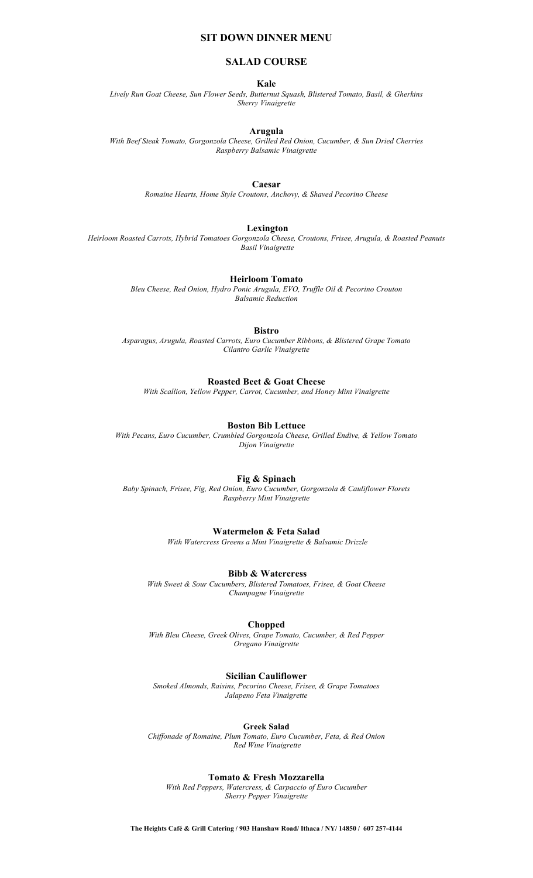# **SIT DOWN DINNER MENU**

# **SALAD COURSE**

#### **Kale**

*Lively Run Goat Cheese, Sun Flower Seeds, Butternut Squash, Blistered Tomato, Basil, & Gherkins Sherry Vinaigrette*

### **Arugula**

*With Beef Steak Tomato, Gorgonzola Cheese, Grilled Red Onion, Cucumber, & Sun Dried Cherries Raspberry Balsamic Vinaigrette*

#### **Caesar**

*Romaine Hearts, Home Style Croutons, Anchovy, & Shaved Pecorino Cheese*

### **Lexington**

*Heirloom Roasted Carrots, Hybrid Tomatoes Gorgonzola Cheese, Croutons, Frisee, Arugula, & Roasted Peanuts Basil Vinaigrette*

### **Heirloom Tomato**

*Bleu Cheese, Red Onion, Hydro Ponic Arugula, EVO, Truffle Oil & Pecorino Crouton Balsamic Reduction*

**Bistro**

*Asparagus, Arugula, Roasted Carrots, Euro Cucumber Ribbons, & Blistered Grape Tomato Cilantro Garlic Vinaigrette*

### **Roasted Beet & Goat Cheese**

*With Scallion, Yellow Pepper, Carrot, Cucumber, and Honey Mint Vinaigrette*

# **Boston Bib Lettuce**

*With Pecans, Euro Cucumber, Crumbled Gorgonzola Cheese, Grilled Endive, & Yellow Tomato Dijon Vinaigrette*

### **Fig & Spinach**

*Baby Spinach, Frisee, Fig, Red Onion, Euro Cucumber, Gorgonzola & Cauliflower Florets Raspberry Mint Vinaigrette*

### **Watermelon & Feta Salad**

*With Watercress Greens a Mint Vinaigrette & Balsamic Drizzle*

### **Bibb & Watercress**

*With Sweet & Sour Cucumbers, Blistered Tomatoes, Frisee, & Goat Cheese Champagne Vinaigrette*

### **Chopped**

*With Bleu Cheese, Greek Olives, Grape Tomato, Cucumber, & Red Pepper Oregano Vinaigrette*

### **Sicilian Cauliflower**

*Smoked Almonds, Raisins, Pecorino Cheese, Frisee, & Grape Tomatoes Jalapeno Feta Vinaigrette*

### **Greek Salad**

*Chiffonade of Romaine, Plum Tomato, Euro Cucumber, Feta, & Red Onion Red Wine Vinaigrette*

### **Tomato & Fresh Mozzarella**

*With Red Peppers, Watercress, & Carpaccio of Euro Cucumber Sherry Pepper Vinaigrette*

**The Heights Café & Grill Catering / 903 Hanshaw Road/ Ithaca / NY/ 14850 / 607 257-4144**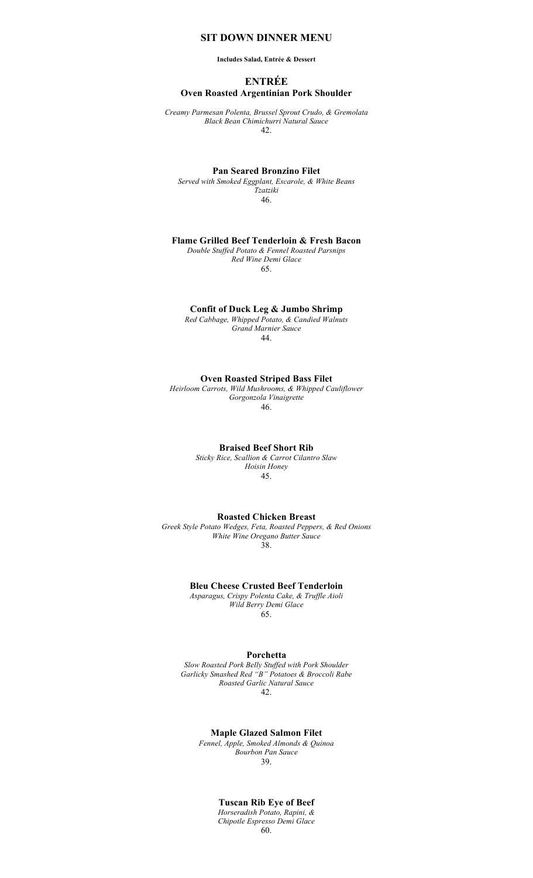# **SIT DOWN DINNER MENU**

**Includes Salad, Entrée & Dessert**

# **ENTRÉE Oven Roasted Argentinian Pork Shoulder**

*Creamy Parmesan Polenta, Brussel Sprout Crudo, & Gremolata Black Bean Chimichurri Natural Sauce* 42.

### **Pan Seared Bronzino Filet**

*Served with Smoked Eggplant, Escarole, & White Beans Tzatziki* 46.

## **Flame Grilled Beef Tenderloin & Fresh Bacon**

*Double Stuffed Potato & Fennel Roasted Parsnips Red Wine Demi Glace* 65.

### **Confit of Duck Leg & Jumbo Shrimp**

*Red Cabbage, Whipped Potato, & Candied Walnuts Grand Marnier Sauce*  44.

# **Oven Roasted Striped Bass Filet**

*Heirloom Carrots, Wild Mushrooms, & Whipped Cauliflower Gorgonzola Vinaigrette* 46.

### **Braised Beef Short Rib**

*Sticky Rice, Scallion & Carrot Cilantro Slaw Hoisin Honey* 45.

### **Roasted Chicken Breast**

*Greek Style Potato Wedges, Feta, Roasted Peppers, & Red Onions White Wine Oregano Butter Sauce* 38.

### **Bleu Cheese Crusted Beef Tenderloin**

*Asparagus, Crispy Polenta Cake, & Truffle Aioli Wild Berry Demi Glace* 65.

### **Porchetta**

*Slow Roasted Pork Belly Stuffed with Pork Shoulder Garlicky Smashed Red "B" Potatoes & Broccoli Rabe Roasted Garlic Natural Sauce* 42.

## **Maple Glazed Salmon Filet**

*Fennel, Apple, Smoked Almonds & Quinoa Bourbon Pan Sauce*  39.

# **Tuscan Rib Eye of Beef**

*Horseradish Potato, Rapini, & Chipotle Espresso Demi Glace* 60.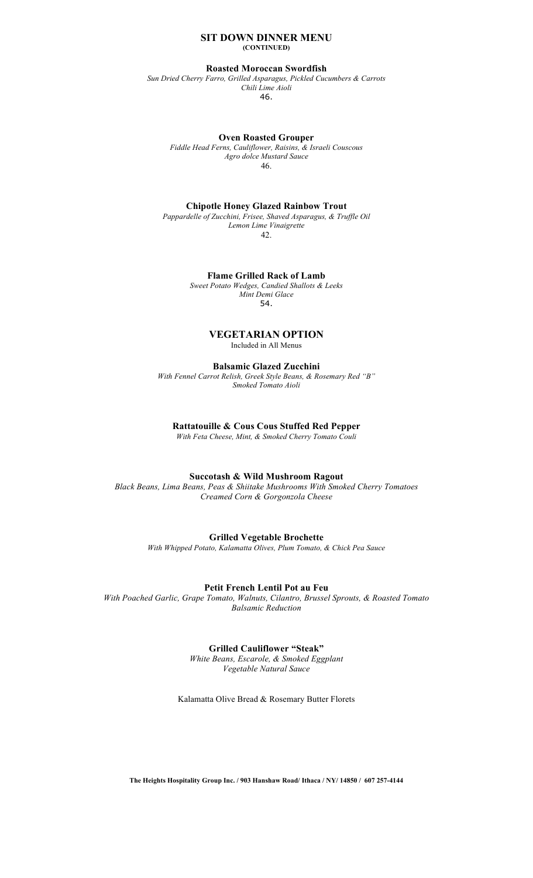### **SIT DOWN DINNER MENU (CONTINUED)**

### **Roasted Moroccan Swordfish**

*Sun Dried Cherry Farro, Grilled Asparagus, Pickled Cucumbers & Carrots Chili Lime Aioli*  46.

**Oven Roasted Grouper**

*Fiddle Head Ferns, Cauliflower, Raisins, & Israeli Couscous Agro dolce Mustard Sauce* 46.

### **Chipotle Honey Glazed Rainbow Trout**

*Pappardelle of Zucchini, Frisee, Shaved Asparagus, & Truffle Oil Lemon Lime Vinaigrette* 42.

**Flame Grilled Rack of Lamb** 

*Sweet Potato Wedges, Candied Shallots & Leeks Mint Demi Glace* 54.

### **VEGETARIAN OPTION** Included in All Menus

**Balsamic Glazed Zucchini**

*With Fennel Carrot Relish, Greek Style Beans, & Rosemary Red "B" Smoked Tomato Aioli*

### **Rattatouille & Cous Cous Stuffed Red Pepper**

*With Feta Cheese, Mint, & Smoked Cherry Tomato Couli*

### **Succotash & Wild Mushroom Ragout**

*Black Beans, Lima Beans, Peas & Shiitake Mushrooms With Smoked Cherry Tomatoes Creamed Corn & Gorgonzola Cheese* 

### **Grilled Vegetable Brochette**

*With Whipped Potato, Kalamatta Olives, Plum Tomato, & Chick Pea Sauce*

### **Petit French Lentil Pot au Feu**

*With Poached Garlic, Grape Tomato, Walnuts, Cilantro, Brussel Sprouts, & Roasted Tomato Balsamic Reduction*

# **Grilled Cauliflower "Steak"**

*White Beans, Escarole, & Smoked Eggplant Vegetable Natural Sauce*

Kalamatta Olive Bread & Rosemary Butter Florets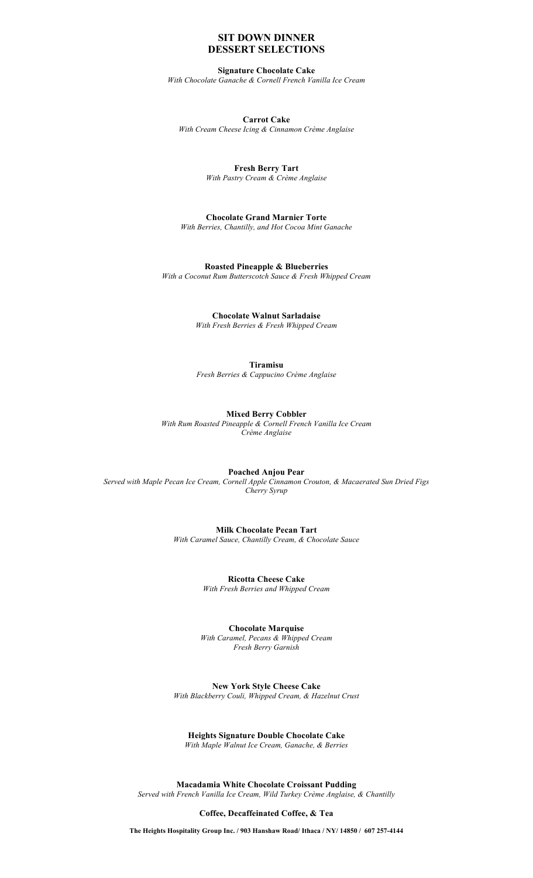# **SIT DOWN DINNER DESSERT SELECTIONS**

# **Signature Chocolate Cake**

*With Chocolate Ganache & Cornell French Vanilla Ice Cream*

**Carrot Cake** *With Cream Cheese Icing & Cinnamon Crème Anglaise*

> **Fresh Berry Tart** *With Pastry Cream & Crème Anglaise*

**Chocolate Grand Marnier Torte**  *With Berries, Chantilly, and Hot Cocoa Mint Ganache*

**Roasted Pineapple & Blueberries** *With a Coconut Rum Butterscotch Sauce & Fresh Whipped Cream*

> **Chocolate Walnut Sarladaise** *With Fresh Berries & Fresh Whipped Cream*

> **Tiramisu** *Fresh Berries & Cappucino Crème Anglaise*

**Mixed Berry Cobbler** *With Rum Roasted Pineapple & Cornell French Vanilla Ice Cream Crème Anglaise*

**Poached Anjou Pear** *Served with Maple Pecan Ice Cream, Cornell Apple Cinnamon Crouton, & Macaerated Sun Dried Figs Cherry Syrup*

> **Milk Chocolate Pecan Tart** *With Caramel Sauce, Chantilly Cream, & Chocolate Sauce*

> > **Ricotta Cheese Cake** *With Fresh Berries and Whipped Cream*

**Chocolate Marquise** *With Caramel, Pecans & Whipped Cream Fresh Berry Garnish*

**New York Style Cheese Cake** *With Blackberry Couli, Whipped Cream, & Hazelnut Crust*

**Heights Signature Double Chocolate Cake**

*With Maple Walnut Ice Cream, Ganache, & Berries*

**Macadamia White Chocolate Croissant Pudding** *Served with French Vanilla Ice Cream, Wild Turkey Crème Anglaise, & Chantilly*

**Coffee, Decaffeinated Coffee, & Tea**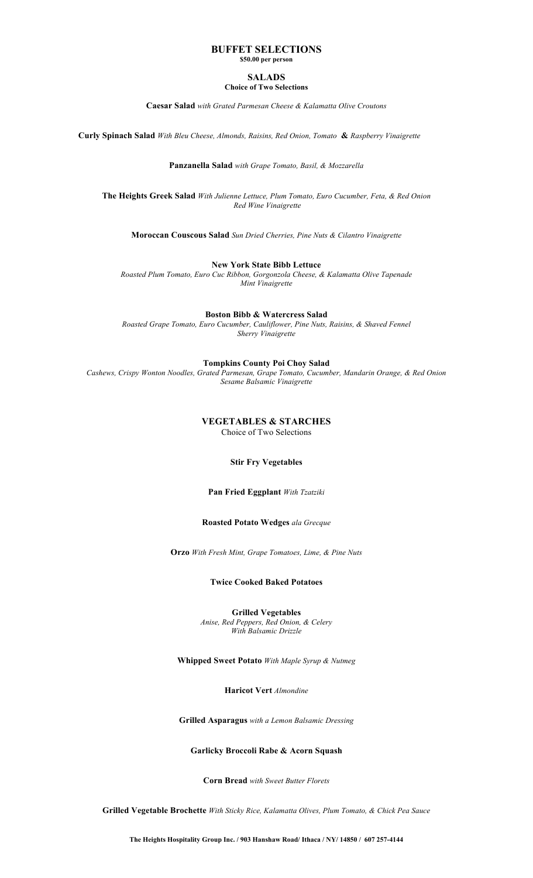# **BUFFET SELECTIONS**

**\$50.00 per person**

### **SALADS Choice of Two Selections**

**Caesar Salad** *with Grated Parmesan Cheese & Kalamatta Olive Croutons*

**Curly Spinach Salad** *With Bleu Cheese, Almonds, Raisins, Red Onion, Tomato* **&** *Raspberry Vinaigrette*

**Panzanella Salad** *with Grape Tomato, Basil, & Mozzarella*

**The Heights Greek Salad** *With Julienne Lettuce, Plum Tomato, Euro Cucumber, Feta, & Red Onion Red Wine Vinaigrette*

**Moroccan Couscous Salad** *Sun Dried Cherries, Pine Nuts & Cilantro Vinaigrette*

**New York State Bibb Lettuce**

*Roasted Plum Tomato, Euro Cuc Ribbon, Gorgonzola Cheese, & Kalamatta Olive Tapenade Mint Vinaigrette*

**Boston Bibb & Watercress Salad**

*Roasted Grape Tomato, Euro Cucumber, Cauliflower, Pine Nuts, Raisins, & Shaved Fennel Sherry Vinaigrette*

**Tompkins County Poi Choy Salad** 

*Cashews, Crispy Wonton Noodles, Grated Parmesan, Grape Tomato, Cucumber, Mandarin Orange, & Red Onion Sesame Balsamic Vinaigrette*

> **VEGETABLES & STARCHES** Choice of Two Selections

> > **Stir Fry Vegetables**

**Pan Fried Eggplant** *With Tzatziki*

# **Roasted Potato Wedges** *ala Grecque*

**Orzo** *With Fresh Mint, Grape Tomatoes, Lime, & Pine Nuts*

# **Twice Cooked Baked Potatoes**

**Grilled Vegetables** *Anise, Red Peppers, Red Onion, & Celery With Balsamic Drizzle*

**Whipped Sweet Potato** *With Maple Syrup & Nutmeg*

**Haricot Vert** *Almondine*

**Grilled Asparagus** *with a Lemon Balsamic Dressing*

# **Garlicky Broccoli Rabe & Acorn Squash**

**Corn Bread** *with Sweet Butter Florets*

**Grilled Vegetable Brochette** *With Sticky Rice, Kalamatta Olives, Plum Tomato, & Chick Pea Sauce*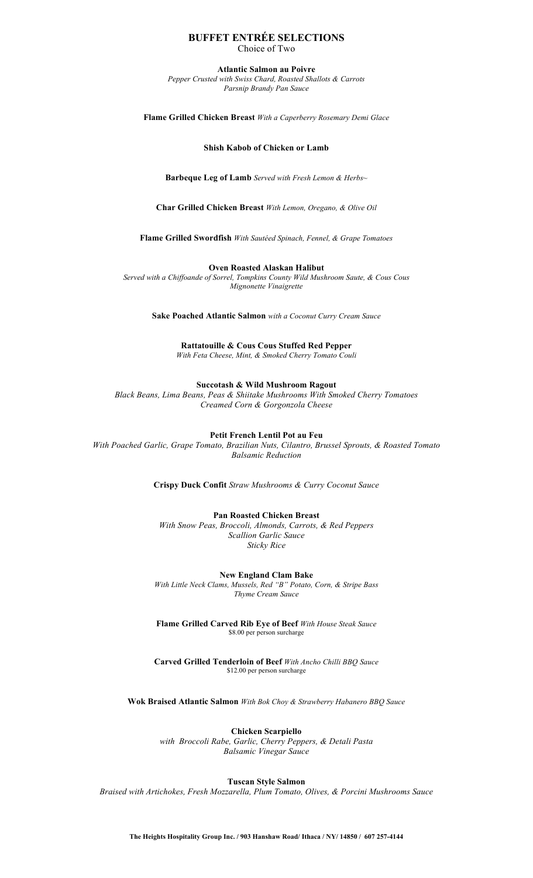# **BUFFET ENTRÉE SELECTIONS** Choice of Two

**Atlantic Salmon au Poivre**

*Pepper Crusted with Swiss Chard, Roasted Shallots & Carrots Parsnip Brandy Pan Sauce*

**Flame Grilled Chicken Breast** *With a Caperberry Rosemary Demi Glace*

**Shish Kabob of Chicken or Lamb**

**Barbeque Leg of Lamb** *Served with Fresh Lemon & Herbs~*

**Char Grilled Chicken Breast** *With Lemon, Oregano, & Olive Oil*

**Flame Grilled Swordfish** *With Sautéed Spinach, Fennel, & Grape Tomatoes*

**Oven Roasted Alaskan Halibut**

*Served with a Chiffoande of Sorrel, Tompkins County Wild Mushroom Saute, & Cous Cous Mignonette Vinaigrette*

**Sake Poached Atlantic Salmon** *with a Coconut Curry Cream Sauce*

**Rattatouille & Cous Cous Stuffed Red Pepper** *With Feta Cheese, Mint, & Smoked Cherry Tomato Couli*

**Succotash & Wild Mushroom Ragout**

*Black Beans, Lima Beans, Peas & Shiitake Mushrooms With Smoked Cherry Tomatoes Creamed Corn & Gorgonzola Cheese* 

**Petit French Lentil Pot au Feu**

*With Poached Garlic, Grape Tomato, Brazilian Nuts, Cilantro, Brussel Sprouts, & Roasted Tomato Balsamic Reduction*

**Crispy Duck Confit** *Straw Mushrooms & Curry Coconut Sauce*

**Pan Roasted Chicken Breast** *With Snow Peas, Broccoli, Almonds, Carrots, & Red Peppers Scallion Garlic Sauce*

*Sticky Rice*

**New England Clam Bake**

*With Little Neck Clams, Mussels, Red "B" Potato, Corn, & Stripe Bass Thyme Cream Sauce*

**Flame Grilled Carved Rib Eye of Beef** *With House Steak Sauce* \$8.00 per person surcharge

**Carved Grilled Tenderloin of Beef** *With Ancho Chilli BBQ Sauce* \$12.00 per person surcharge

**Wok Braised Atlantic Salmon** *With Bok Choy & Strawberry Habanero BBQ Sauce*

**Chicken Scarpiello**

*with Broccoli Rabe, Garlic, Cherry Peppers, & Detali Pasta Balsamic Vinegar Sauce*

**Tuscan Style Salmon**

*Braised with Artichokes, Fresh Mozzarella, Plum Tomato, Olives, & Porcini Mushrooms Sauce*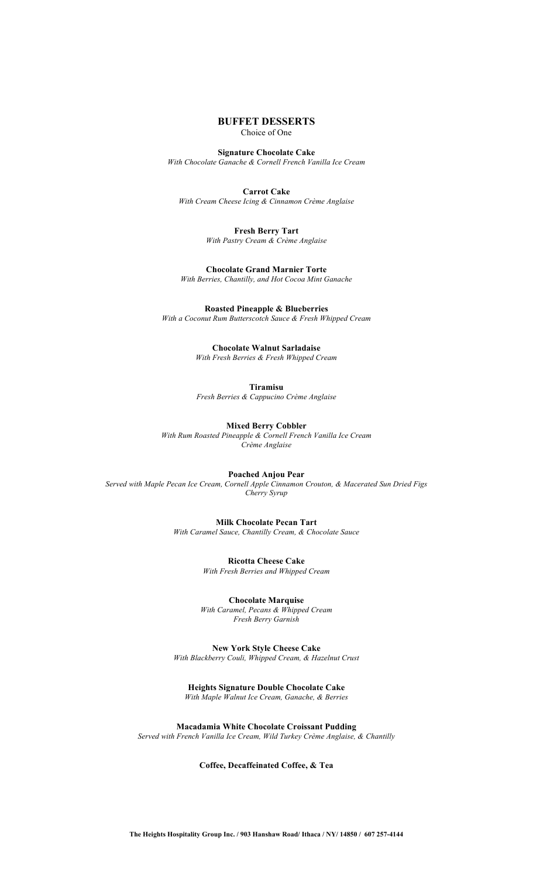# **BUFFET DESSERTS**

Choice of One

**Signature Chocolate Cake** *With Chocolate Ganache & Cornell French Vanilla Ice Cream*

**Carrot Cake** *With Cream Cheese Icing & Cinnamon Crème Anglaise*

> **Fresh Berry Tart** *With Pastry Cream & Crème Anglaise*

**Chocolate Grand Marnier Torte**  *With Berries, Chantilly, and Hot Cocoa Mint Ganache*

**Roasted Pineapple & Blueberries** *With a Coconut Rum Butterscotch Sauce & Fresh Whipped Cream*

> **Chocolate Walnut Sarladaise** *With Fresh Berries & Fresh Whipped Cream*

> > **Tiramisu**

*Fresh Berries & Cappucino Crème Anglaise* 

**Mixed Berry Cobbler** *With Rum Roasted Pineapple & Cornell French Vanilla Ice Cream Crème Anglaise*

**Poached Anjou Pear** *Served with Maple Pecan Ice Cream, Cornell Apple Cinnamon Crouton, & Macerated Sun Dried Figs Cherry Syrup*

> **Milk Chocolate Pecan Tart** *With Caramel Sauce, Chantilly Cream, & Chocolate Sauce*

> > **Ricotta Cheese Cake** *With Fresh Berries and Whipped Cream*

**Chocolate Marquise** *With Caramel, Pecans & Whipped Cream Fresh Berry Garnish*

**New York Style Cheese Cake** *With Blackberry Couli, Whipped Cream, & Hazelnut Crust*

**Heights Signature Double Chocolate Cake** *With Maple Walnut Ice Cream, Ganache, & Berries*

**Macadamia White Chocolate Croissant Pudding** *Served with French Vanilla Ice Cream, Wild Turkey Crème Anglaise, & Chantilly*

**Coffee, Decaffeinated Coffee, & Tea**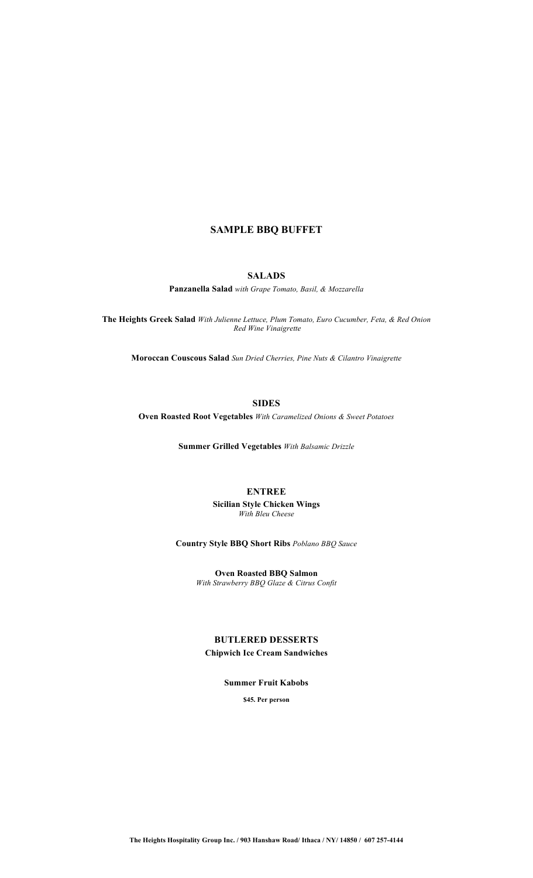# **SAMPLE BBQ BUFFET**

# **SALADS**

**Panzanella Salad** *with Grape Tomato, Basil, & Mozzarella*

**The Heights Greek Salad** *With Julienne Lettuce, Plum Tomato, Euro Cucumber, Feta, & Red Onion Red Wine Vinaigrette*

**Moroccan Couscous Salad** *Sun Dried Cherries, Pine Nuts & Cilantro Vinaigrette*

**SIDES**

**Oven Roasted Root Vegetables** *With Caramelized Onions & Sweet Potatoes*

**Summer Grilled Vegetables** *With Balsamic Drizzle*

# **ENTREE**

**Sicilian Style Chicken Wings** *With Bleu Cheese*

**Country Style BBQ Short Ribs** *Poblano BBQ Sauce*

**Oven Roasted BBQ Salmon** *With Strawberry BBQ Glaze & Citrus Confit*

# **BUTLERED DESSERTS Chipwich Ice Cream Sandwiches**

**Summer Fruit Kabobs**

**\$45. Per person**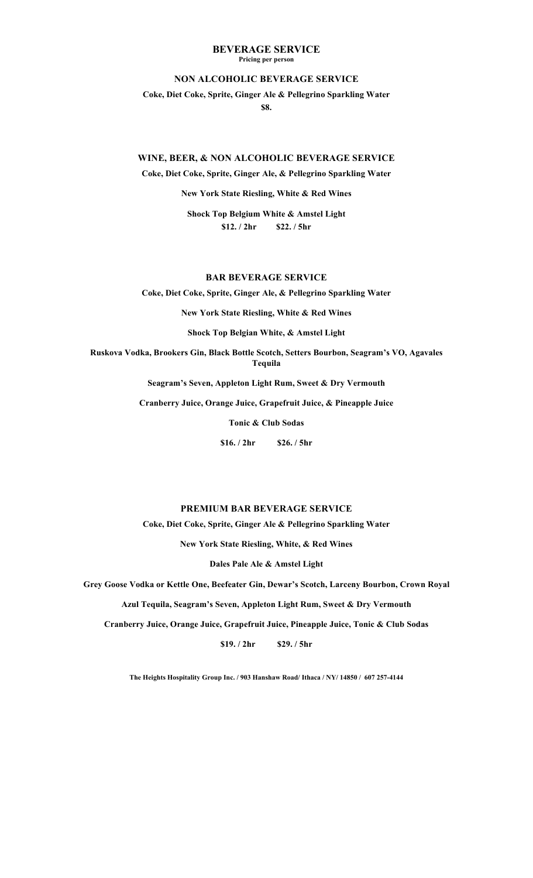### **BEVERAGE SERVICE Pricing per person**

### **NON ALCOHOLIC BEVERAGE SERVICE**

**Coke, Diet Coke, Sprite, Ginger Ale & Pellegrino Sparkling Water \$8.**

### **WINE, BEER, & NON ALCOHOLIC BEVERAGE SERVICE**

**Coke, Diet Coke, Sprite, Ginger Ale, & Pellegrino Sparkling Water**

**New York State Riesling, White & Red Wines**

**Shock Top Belgium White & Amstel Light \$12. / 2hr \$22. / 5hr**

# **BAR BEVERAGE SERVICE**

**Coke, Diet Coke, Sprite, Ginger Ale, & Pellegrino Sparkling Water**

**New York State Riesling, White & Red Wines**

**Shock Top Belgian White, & Amstel Light**

**Ruskova Vodka, Brookers Gin, Black Bottle Scotch, Setters Bourbon, Seagram's VO, Agavales Tequila**

**Seagram's Seven, Appleton Light Rum, Sweet & Dry Vermouth**

**Cranberry Juice, Orange Juice, Grapefruit Juice, & Pineapple Juice**

**Tonic & Club Sodas**

**\$16. / 2hr \$26. / 5hr**

# **PREMIUM BAR BEVERAGE SERVICE**

**Coke, Diet Coke, Sprite, Ginger Ale & Pellegrino Sparkling Water**

**New York State Riesling, White, & Red Wines**

**Dales Pale Ale & Amstel Light**

**Grey Goose Vodka or Kettle One, Beefeater Gin, Dewar's Scotch, Larceny Bourbon, Crown Royal**

**Azul Tequila, Seagram's Seven, Appleton Light Rum, Sweet & Dry Vermouth**

**Cranberry Juice, Orange Juice, Grapefruit Juice, Pineapple Juice, Tonic & Club Sodas**

**\$19. / 2hr \$29. / 5hr**